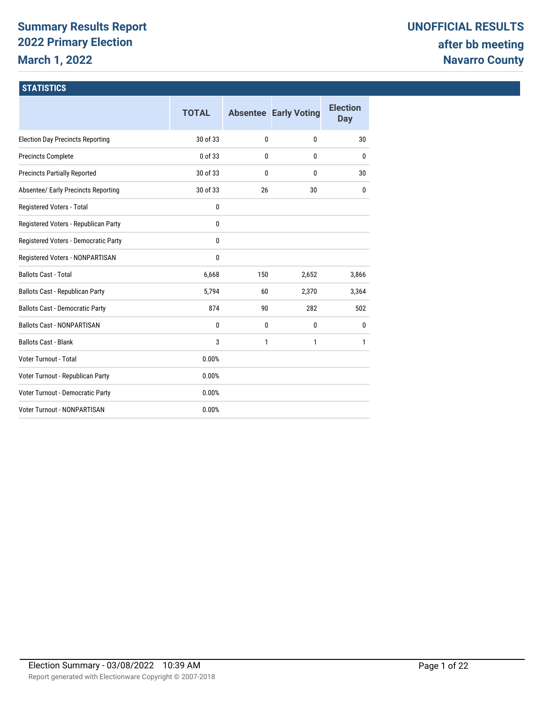# **Summary Results Report 2022 Primary Election March 1, 2022**

#### **STATISTICS**

|                                         | <b>TOTAL</b> |     | <b>Absentee Early Voting</b> | <b>Election</b><br><b>Day</b> |
|-----------------------------------------|--------------|-----|------------------------------|-------------------------------|
| <b>Election Day Precincts Reporting</b> | 30 of 33     | 0   | $\mathbf{0}$                 | 30                            |
| <b>Precincts Complete</b>               | 0 of 33      | 0   | $\mathbf{0}$                 | $\mathbf{0}$                  |
| <b>Precincts Partially Reported</b>     | 30 of 33     | 0   | $\mathbf{0}$                 | 30                            |
| Absentee/ Early Precincts Reporting     | 30 of 33     | 26  | 30                           | $\mathbf{0}$                  |
| Registered Voters - Total               | 0            |     |                              |                               |
| Registered Voters - Republican Party    | 0            |     |                              |                               |
| Registered Voters - Democratic Party    | 0            |     |                              |                               |
| Registered Voters - NONPARTISAN         | 0            |     |                              |                               |
| <b>Ballots Cast - Total</b>             | 6,668        | 150 | 2,652                        | 3,866                         |
| Ballots Cast - Republican Party         | 5,794        | 60  | 2,370                        | 3,364                         |
| <b>Ballots Cast - Democratic Party</b>  | 874          | 90  | 282                          | 502                           |
| <b>Ballots Cast - NONPARTISAN</b>       | 0            | 0   | 0                            | 0                             |
| <b>Ballots Cast - Blank</b>             | 3            | 1   | $\mathbf{1}$                 | 1                             |
| Voter Turnout - Total                   | 0.00%        |     |                              |                               |
| Voter Turnout - Republican Party        | 0.00%        |     |                              |                               |
| Voter Turnout - Democratic Party        | 0.00%        |     |                              |                               |
| Voter Turnout - NONPARTISAN             | 0.00%        |     |                              |                               |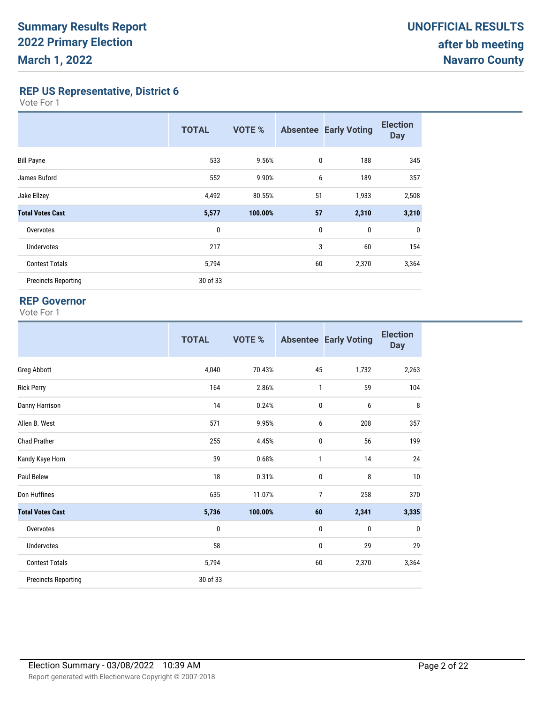**REP US Representative, District 6**

Vote For 1

|                            | <b>TOTAL</b> | <b>VOTE %</b> |              | <b>Absentee Early Voting</b> | <b>Election</b><br><b>Day</b> |
|----------------------------|--------------|---------------|--------------|------------------------------|-------------------------------|
| <b>Bill Payne</b>          | 533          | 9.56%         | $\mathbf{0}$ | 188                          | 345                           |
| James Buford               | 552          | 9.90%         | 6            | 189                          | 357                           |
| Jake Ellzey                | 4,492        | 80.55%        | 51           | 1,933                        | 2,508                         |
| <b>Total Votes Cast</b>    | 5,577        | 100.00%       | 57           | 2,310                        | 3,210                         |
| Overvotes                  | 0            |               | $\bf{0}$     | $\boldsymbol{0}$             | 0                             |
| Undervotes                 | 217          |               | 3            | 60                           | 154                           |
| <b>Contest Totals</b>      | 5,794        |               | 60           | 2,370                        | 3,364                         |
| <b>Precincts Reporting</b> | 30 of 33     |               |              |                              |                               |

#### **REP Governor**

|                            | <b>TOTAL</b> | <b>VOTE %</b> |                | <b>Absentee Early Voting</b> | <b>Election</b><br><b>Day</b> |
|----------------------------|--------------|---------------|----------------|------------------------------|-------------------------------|
| <b>Greg Abbott</b>         | 4,040        | 70.43%        | 45             | 1,732                        | 2,263                         |
| <b>Rick Perry</b>          | 164          | 2.86%         | $\mathbf{1}$   | 59                           | 104                           |
| Danny Harrison             | 14           | 0.24%         | $\bf{0}$       | 6                            | 8                             |
| Allen B. West              | 571          | 9.95%         | 6              | 208                          | 357                           |
| <b>Chad Prather</b>        | 255          | 4.45%         | $\mathbf{0}$   | 56                           | 199                           |
| Kandy Kaye Horn            | 39           | 0.68%         | $\mathbf{1}$   | 14                           | 24                            |
| Paul Belew                 | 18           | 0.31%         | $\bf{0}$       | 8                            | 10                            |
| Don Huffines               | 635          | 11.07%        | $\overline{7}$ | 258                          | 370                           |
| <b>Total Votes Cast</b>    | 5,736        | 100.00%       | 60             | 2,341                        | 3,335                         |
| Overvotes                  | 0            |               | $\mathbf{0}$   | $\mathbf{0}$                 | 0                             |
| <b>Undervotes</b>          | 58           |               | $\bf{0}$       | 29                           | 29                            |
| <b>Contest Totals</b>      | 5,794        |               | 60             | 2,370                        | 3,364                         |
| <b>Precincts Reporting</b> | 30 of 33     |               |                |                              |                               |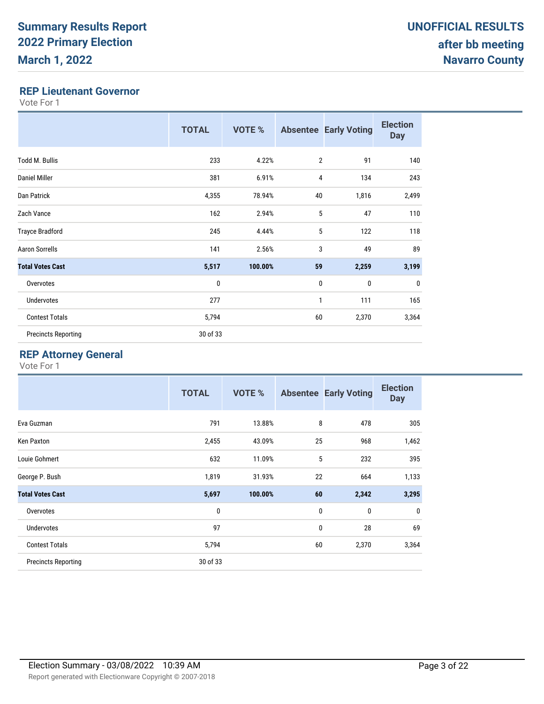#### **REP Lieutenant Governor**

Vote For 1

|                            | <b>TOTAL</b> | <b>VOTE %</b> |                | <b>Absentee Early Voting</b> | <b>Election</b><br><b>Day</b> |
|----------------------------|--------------|---------------|----------------|------------------------------|-------------------------------|
| <b>Todd M. Bullis</b>      | 233          | 4.22%         | $\overline{2}$ | 91                           | 140                           |
| Daniel Miller              | 381          | 6.91%         | 4              | 134                          | 243                           |
| Dan Patrick                | 4,355        | 78.94%        | 40             | 1,816                        | 2,499                         |
| Zach Vance                 | 162          | 2.94%         | 5              | 47                           | 110                           |
| <b>Trayce Bradford</b>     | 245          | 4.44%         | 5              | 122                          | 118                           |
| <b>Aaron Sorrells</b>      | 141          | 2.56%         | 3              | 49                           | 89                            |
| <b>Total Votes Cast</b>    | 5,517        | 100.00%       | 59             | 2,259                        | 3,199                         |
| Overvotes                  | 0            |               | $\mathbf 0$    | 0                            | $\mathbf 0$                   |
| Undervotes                 | 277          |               | 1              | 111                          | 165                           |
| <b>Contest Totals</b>      | 5,794        |               | 60             | 2,370                        | 3,364                         |
| <b>Precincts Reporting</b> | 30 of 33     |               |                |                              |                               |

### **REP Attorney General**

|                            | <b>TOTAL</b> | <b>VOTE %</b> |    | <b>Absentee Early Voting</b> | <b>Election</b><br><b>Day</b> |
|----------------------------|--------------|---------------|----|------------------------------|-------------------------------|
| Eva Guzman                 | 791          | 13.88%        | 8  | 478                          | 305                           |
| Ken Paxton                 | 2,455        | 43.09%        | 25 | 968                          | 1,462                         |
| Louie Gohmert              | 632          | 11.09%        | 5  | 232                          | 395                           |
| George P. Bush             | 1,819        | 31.93%        | 22 | 664                          | 1,133                         |
| <b>Total Votes Cast</b>    | 5,697        | 100.00%       | 60 | 2,342                        | 3,295                         |
| Overvotes                  | $\mathbf{0}$ |               | 0  | 0                            | 0                             |
| <b>Undervotes</b>          | 97           |               | 0  | 28                           | 69                            |
| <b>Contest Totals</b>      | 5,794        |               | 60 | 2,370                        | 3,364                         |
| <b>Precincts Reporting</b> | 30 of 33     |               |    |                              |                               |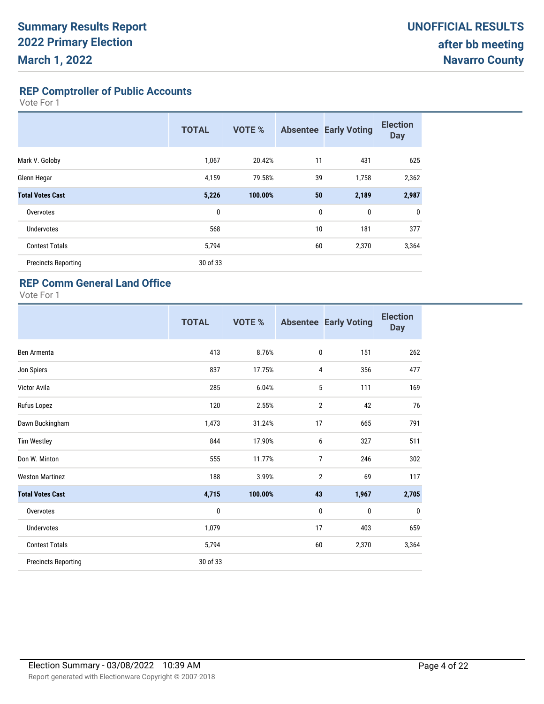**REP Comptroller of Public Accounts**

Vote For 1

|                            | <b>TOTAL</b> | <b>VOTE %</b> | <b>Absentee</b> | <b>Early Voting</b> | <b>Election</b><br><b>Day</b> |
|----------------------------|--------------|---------------|-----------------|---------------------|-------------------------------|
| Mark V. Goloby             | 1,067        | 20.42%        | 11              | 431                 | 625                           |
| Glenn Hegar                | 4,159        | 79.58%        | 39              | 1,758               | 2,362                         |
| <b>Total Votes Cast</b>    | 5,226        | 100.00%       | 50              | 2,189               | 2,987                         |
| Overvotes                  | 0            |               | $\mathbf{0}$    | 0                   | $\mathbf 0$                   |
| <b>Undervotes</b>          | 568          |               | 10              | 181                 | 377                           |
| <b>Contest Totals</b>      | 5,794        |               | 60              | 2,370               | 3,364                         |
| <b>Precincts Reporting</b> | 30 of 33     |               |                 |                     |                               |

#### **REP Comm General Land Office**

|                            | <b>TOTAL</b> | VOTE %  |                | <b>Absentee Early Voting</b> | <b>Election</b><br><b>Day</b> |
|----------------------------|--------------|---------|----------------|------------------------------|-------------------------------|
| Ben Armenta                | 413          | 8.76%   | $\mathbf 0$    | 151                          | 262                           |
| Jon Spiers                 | 837          | 17.75%  | 4              | 356                          | 477                           |
| <b>Victor Avila</b>        | 285          | 6.04%   | 5              | 111                          | 169                           |
| Rufus Lopez                | 120          | 2.55%   | $\overline{2}$ | 42                           | 76                            |
| Dawn Buckingham            | 1,473        | 31.24%  | 17             | 665                          | 791                           |
| <b>Tim Westley</b>         | 844          | 17.90%  | 6              | 327                          | 511                           |
| Don W. Minton              | 555          | 11.77%  | $\overline{7}$ | 246                          | 302                           |
| <b>Weston Martinez</b>     | 188          | 3.99%   | $\overline{2}$ | 69                           | 117                           |
| <b>Total Votes Cast</b>    | 4,715        | 100.00% | 43             | 1,967                        | 2,705                         |
| Overvotes                  | 0            |         | 0              | 0                            | $\mathbf{0}$                  |
| <b>Undervotes</b>          | 1,079        |         | 17             | 403                          | 659                           |
| <b>Contest Totals</b>      | 5,794        |         | 60             | 2,370                        | 3,364                         |
| <b>Precincts Reporting</b> | 30 of 33     |         |                |                              |                               |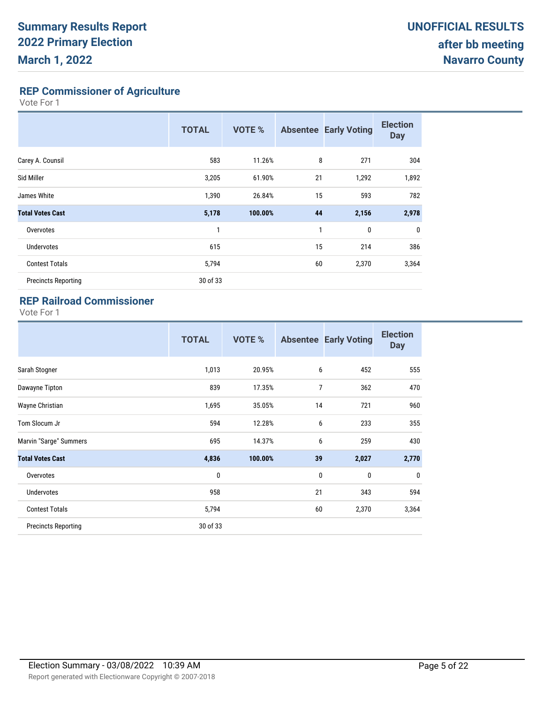**REP Commissioner of Agriculture**

Vote For 1

|                            | <b>TOTAL</b> | <b>VOTE %</b> |    | <b>Absentee Early Voting</b> | <b>Election</b><br><b>Day</b> |
|----------------------------|--------------|---------------|----|------------------------------|-------------------------------|
| Carey A. Counsil           | 583          | 11.26%        | 8  | 271                          | 304                           |
| Sid Miller                 | 3,205        | 61.90%        | 21 | 1,292                        | 1,892                         |
| James White                | 1,390        | 26.84%        | 15 | 593                          | 782                           |
| <b>Total Votes Cast</b>    | 5,178        | 100.00%       | 44 | 2,156                        | 2,978                         |
| Overvotes                  | 1            |               | 1  | $\mathbf{0}$                 | $\mathbf 0$                   |
| <b>Undervotes</b>          | 615          |               | 15 | 214                          | 386                           |
| <b>Contest Totals</b>      | 5,794        |               | 60 | 2,370                        | 3,364                         |
| <b>Precincts Reporting</b> | 30 of 33     |               |    |                              |                               |

### **REP Railroad Commissioner**

|                            | <b>TOTAL</b> | VOTE %  |             | <b>Absentee Early Voting</b> | <b>Election</b><br><b>Day</b> |
|----------------------------|--------------|---------|-------------|------------------------------|-------------------------------|
| Sarah Stogner              | 1,013        | 20.95%  | 6           | 452                          | 555                           |
| Dawayne Tipton             | 839          | 17.35%  | 7           | 362                          | 470                           |
| Wayne Christian            | 1,695        | 35.05%  | 14          | 721                          | 960                           |
| Tom Slocum Jr              | 594          | 12.28%  | 6           | 233                          | 355                           |
| Marvin "Sarge" Summers     | 695          | 14.37%  | 6           | 259                          | 430                           |
| <b>Total Votes Cast</b>    | 4,836        | 100.00% | 39          | 2,027                        | 2,770                         |
| Overvotes                  | 0            |         | $\mathbf 0$ | 0                            | $\mathbf 0$                   |
| Undervotes                 | 958          |         | 21          | 343                          | 594                           |
| <b>Contest Totals</b>      | 5,794        |         | 60          | 2,370                        | 3,364                         |
| <b>Precincts Reporting</b> | 30 of 33     |         |             |                              |                               |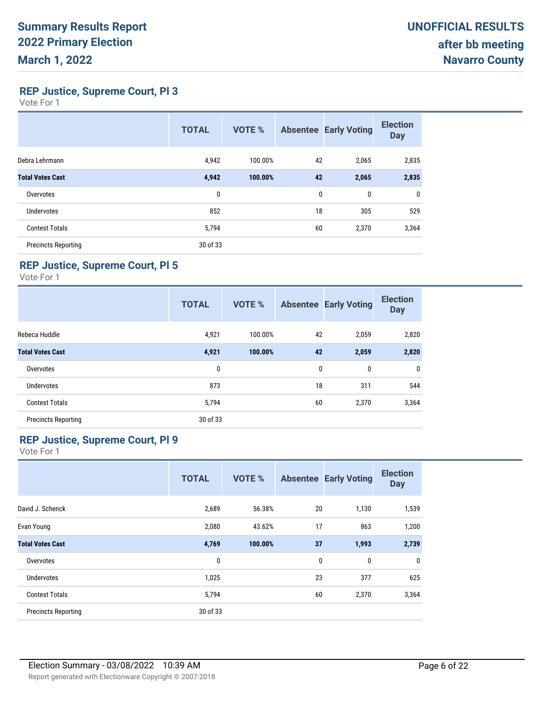**REP Justice, Supreme Court, Pl 3**

Vote For 1

|                            | <b>TOTAL</b> | <b>VOTE %</b> |    | <b>Absentee Early Voting</b> | <b>Election</b><br><b>Day</b> |
|----------------------------|--------------|---------------|----|------------------------------|-------------------------------|
| Debra Lehrmann             | 4,942        | 100.00%       | 42 | 2,065                        | 2,835                         |
| <b>Total Votes Cast</b>    | 4,942        | 100.00%       | 42 | 2,065                        | 2,835                         |
| Overvotes                  | 0            |               | 0  | 0                            | 0                             |
| <b>Undervotes</b>          | 852          |               | 18 | 305                          | 529                           |
| <b>Contest Totals</b>      | 5,794        |               | 60 | 2,370                        | 3,364                         |
| <b>Precincts Reporting</b> | 30 of 33     |               |    |                              |                               |

#### **REP Justice, Supreme Court, Pl 5**

Vote For 1

|                            | <b>TOTAL</b> | <b>VOTE %</b> |    | <b>Absentee Early Voting</b> | <b>Election</b><br><b>Day</b> |
|----------------------------|--------------|---------------|----|------------------------------|-------------------------------|
| Rebeca Huddle              | 4,921        | 100.00%       | 42 | 2,059                        | 2,820                         |
| <b>Total Votes Cast</b>    | 4,921        | 100.00%       | 42 | 2,059                        | 2,820                         |
| Overvotes                  | 0            |               | 0  | 0                            | 0                             |
| <b>Undervotes</b>          | 873          |               | 18 | 311                          | 544                           |
| <b>Contest Totals</b>      | 5,794        |               | 60 | 2,370                        | 3,364                         |
| <b>Precincts Reporting</b> | 30 of 33     |               |    |                              |                               |

#### **REP Justice, Supreme Court, Pl 9**

|                            | <b>TOTAL</b> | <b>VOTE %</b> |    | <b>Absentee Early Voting</b> | <b>Election</b><br><b>Day</b> |
|----------------------------|--------------|---------------|----|------------------------------|-------------------------------|
| David J. Schenck           | 2,689        | 56.38%        | 20 | 1,130                        | 1,539                         |
| Evan Young                 | 2,080        | 43.62%        | 17 | 863                          | 1,200                         |
| <b>Total Votes Cast</b>    | 4,769        | 100.00%       | 37 | 1,993                        | 2,739                         |
| Overvotes                  | 0            |               | 0  | 0                            | 0                             |
| <b>Undervotes</b>          | 1,025        |               | 23 | 377                          | 625                           |
| <b>Contest Totals</b>      | 5,794        |               | 60 | 2,370                        | 3,364                         |
| <b>Precincts Reporting</b> | 30 of 33     |               |    |                              |                               |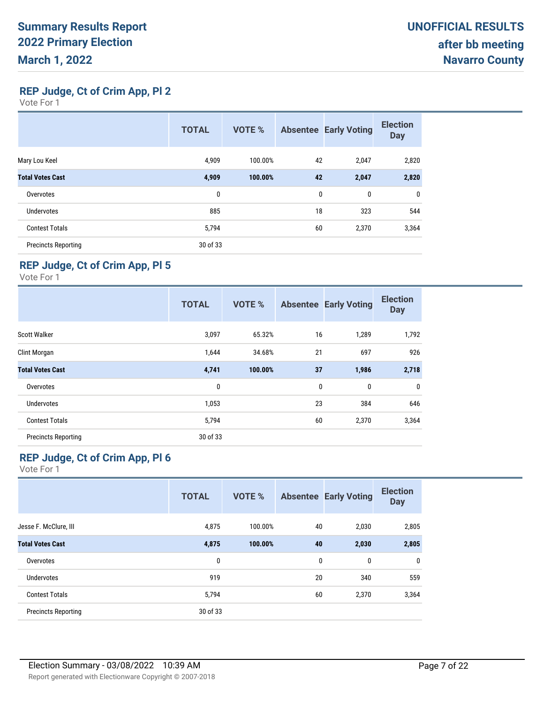**REP Judge, Ct of Crim App, Pl 2**

Vote For 1

|                            | <b>TOTAL</b> | <b>VOTE %</b> |    | <b>Absentee Early Voting</b> | <b>Election</b><br><b>Day</b> |
|----------------------------|--------------|---------------|----|------------------------------|-------------------------------|
| Mary Lou Keel              | 4,909        | 100.00%       | 42 | 2,047                        | 2,820                         |
| <b>Total Votes Cast</b>    | 4,909        | 100.00%       | 42 | 2,047                        | 2,820                         |
| Overvotes                  | 0            |               | 0  | 0                            | 0                             |
| <b>Undervotes</b>          | 885          |               | 18 | 323                          | 544                           |
| <b>Contest Totals</b>      | 5,794        |               | 60 | 2,370                        | 3,364                         |
| <b>Precincts Reporting</b> | 30 of 33     |               |    |                              |                               |

### **REP Judge, Ct of Crim App, Pl 5**

Vote For 1

|                            | <b>TOTAL</b> | <b>VOTE %</b> |    | <b>Absentee Early Voting</b> | <b>Election</b><br><b>Day</b> |
|----------------------------|--------------|---------------|----|------------------------------|-------------------------------|
| <b>Scott Walker</b>        | 3,097        | 65.32%        | 16 | 1,289                        | 1,792                         |
| Clint Morgan               | 1,644        | 34.68%        | 21 | 697                          | 926                           |
| <b>Total Votes Cast</b>    | 4,741        | 100.00%       | 37 | 1,986                        | 2,718                         |
| Overvotes                  | 0            |               | 0  | 0                            | 0                             |
| <b>Undervotes</b>          | 1,053        |               | 23 | 384                          | 646                           |
| <b>Contest Totals</b>      | 5,794        |               | 60 | 2,370                        | 3,364                         |
| <b>Precincts Reporting</b> | 30 of 33     |               |    |                              |                               |

### **REP Judge, Ct of Crim App, Pl 6**

|                            | <b>TOTAL</b> | <b>VOTE %</b> |              | <b>Absentee Early Voting</b> | <b>Election</b><br><b>Day</b> |
|----------------------------|--------------|---------------|--------------|------------------------------|-------------------------------|
| Jesse F. McClure, III      | 4,875        | 100.00%       | 40           | 2,030                        | 2,805                         |
| <b>Total Votes Cast</b>    | 4,875        | 100.00%       | 40           | 2,030                        | 2,805                         |
| Overvotes                  | 0            |               | $\mathbf{0}$ | $\mathbf{0}$                 | 0                             |
| Undervotes                 | 919          |               | 20           | 340                          | 559                           |
| <b>Contest Totals</b>      | 5,794        |               | 60           | 2,370                        | 3,364                         |
| <b>Precincts Reporting</b> | 30 of 33     |               |              |                              |                               |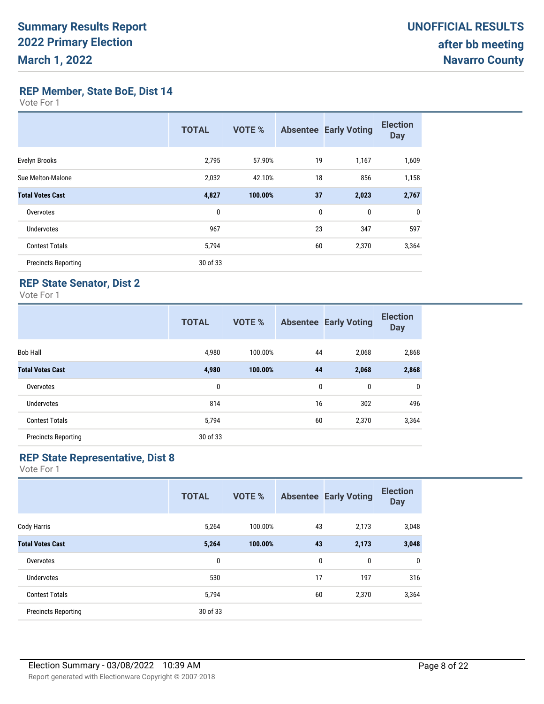**REP Member, State BoE, Dist 14**

Vote For 1

|                            | <b>TOTAL</b> | VOTE %  | <b>Absentee</b> | <b>Early Voting</b> | <b>Election</b><br><b>Day</b> |
|----------------------------|--------------|---------|-----------------|---------------------|-------------------------------|
| Evelyn Brooks              | 2,795        | 57.90%  | 19              | 1,167               | 1,609                         |
| Sue Melton-Malone          | 2,032        | 42.10%  | 18              | 856                 | 1,158                         |
| <b>Total Votes Cast</b>    | 4,827        | 100.00% | 37              | 2,023               | 2,767                         |
| Overvotes                  | 0            |         | $\mathbf{0}$    | 0                   | 0                             |
| <b>Undervotes</b>          | 967          |         | 23              | 347                 | 597                           |
| <b>Contest Totals</b>      | 5,794        |         | 60              | 2,370               | 3,364                         |
| <b>Precincts Reporting</b> | 30 of 33     |         |                 |                     |                               |

#### **REP State Senator, Dist 2**

Vote For 1

|                            | <b>TOTAL</b> | <b>VOTE %</b> |    | <b>Absentee Early Voting</b> | <b>Election</b><br><b>Day</b> |
|----------------------------|--------------|---------------|----|------------------------------|-------------------------------|
| <b>Bob Hall</b>            | 4,980        | 100.00%       | 44 | 2,068                        | 2,868                         |
| <b>Total Votes Cast</b>    | 4,980        | 100.00%       | 44 | 2,068                        | 2,868                         |
| Overvotes                  | 0            |               | 0  | 0                            | $\mathbf 0$                   |
| <b>Undervotes</b>          | 814          |               | 16 | 302                          | 496                           |
| <b>Contest Totals</b>      | 5,794        |               | 60 | 2,370                        | 3,364                         |
| <b>Precincts Reporting</b> | 30 of 33     |               |    |                              |                               |

### **REP State Representative, Dist 8**

|                            | <b>TOTAL</b> | <b>VOTE %</b> |    | <b>Absentee Early Voting</b> | <b>Election</b><br><b>Day</b> |
|----------------------------|--------------|---------------|----|------------------------------|-------------------------------|
| Cody Harris                | 5,264        | 100.00%       | 43 | 2,173                        | 3,048                         |
| <b>Total Votes Cast</b>    | 5,264        | 100.00%       | 43 | 2,173                        | 3,048                         |
| Overvotes                  | 0            |               | 0  | 0                            | 0                             |
| <b>Undervotes</b>          | 530          |               | 17 | 197                          | 316                           |
| <b>Contest Totals</b>      | 5,794        |               | 60 | 2,370                        | 3,364                         |
| <b>Precincts Reporting</b> | 30 of 33     |               |    |                              |                               |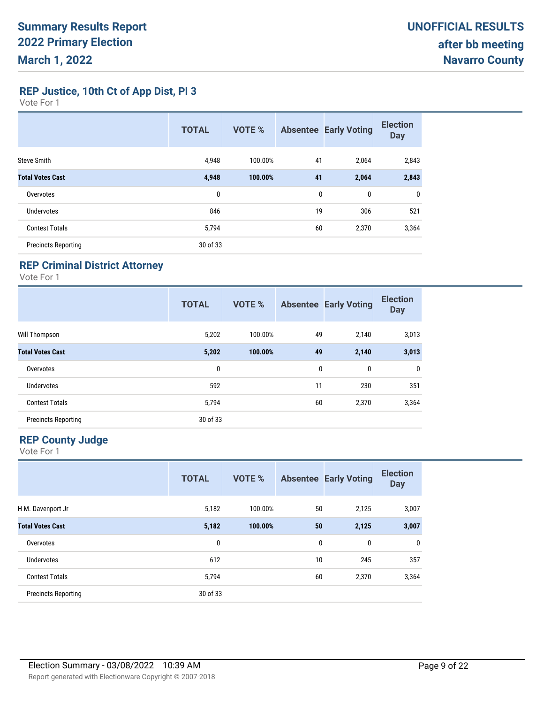**REP Justice, 10th Ct of App Dist, Pl 3**

Vote For 1

|                            | <b>TOTAL</b> | <b>VOTE %</b> |    | <b>Absentee Early Voting</b> | <b>Election</b><br><b>Day</b> |
|----------------------------|--------------|---------------|----|------------------------------|-------------------------------|
| <b>Steve Smith</b>         | 4,948        | 100.00%       | 41 | 2,064                        | 2,843                         |
| <b>Total Votes Cast</b>    | 4,948        | 100.00%       | 41 | 2,064                        | 2,843                         |
| Overvotes                  | 0            |               | 0  | 0                            | 0                             |
| <b>Undervotes</b>          | 846          |               | 19 | 306                          | 521                           |
| <b>Contest Totals</b>      | 5,794        |               | 60 | 2,370                        | 3,364                         |
| <b>Precincts Reporting</b> | 30 of 33     |               |    |                              |                               |

### **REP Criminal District Attorney**

Vote For 1

|                            | <b>TOTAL</b> | <b>VOTE %</b> |    | <b>Absentee Early Voting</b> | <b>Election</b><br><b>Day</b> |
|----------------------------|--------------|---------------|----|------------------------------|-------------------------------|
| Will Thompson              | 5,202        | 100.00%       | 49 | 2,140                        | 3,013                         |
| <b>Total Votes Cast</b>    | 5,202        | 100.00%       | 49 | 2,140                        | 3,013                         |
| Overvotes                  | 0            |               | 0  | 0                            | 0                             |
| Undervotes                 | 592          |               | 11 | 230                          | 351                           |
| <b>Contest Totals</b>      | 5,794        |               | 60 | 2,370                        | 3,364                         |
| <b>Precincts Reporting</b> | 30 of 33     |               |    |                              |                               |

#### **REP County Judge**

|                            | <b>TOTAL</b> | <b>VOTE %</b> |    | <b>Absentee Early Voting</b> | <b>Election</b><br><b>Day</b> |
|----------------------------|--------------|---------------|----|------------------------------|-------------------------------|
| H M. Davenport Jr          | 5,182        | 100.00%       | 50 | 2,125                        | 3,007                         |
| <b>Total Votes Cast</b>    | 5,182        | 100.00%       | 50 | 2,125                        | 3,007                         |
| Overvotes                  | 0            |               | 0  | 0                            | 0                             |
| Undervotes                 | 612          |               | 10 | 245                          | 357                           |
| <b>Contest Totals</b>      | 5,794        |               | 60 | 2,370                        | 3,364                         |
| <b>Precincts Reporting</b> | 30 of 33     |               |    |                              |                               |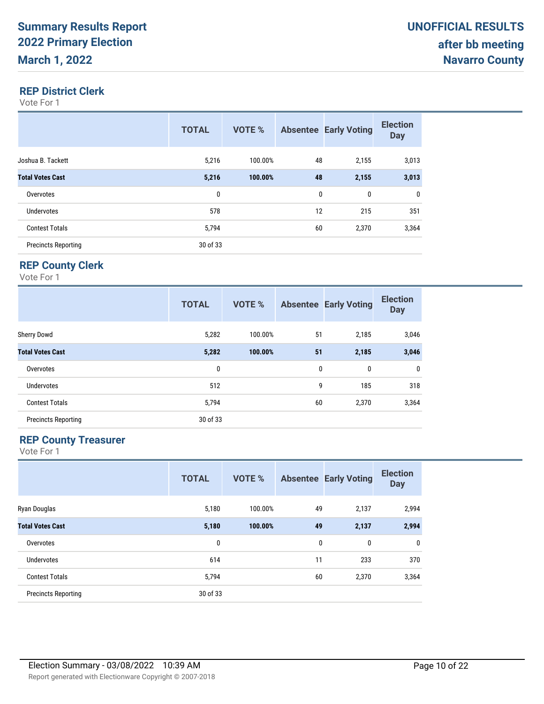#### **REP District Clerk**

Vote For 1

|                            | <b>TOTAL</b> | VOTE %  |    | <b>Absentee Early Voting</b> | <b>Election</b><br><b>Day</b> |
|----------------------------|--------------|---------|----|------------------------------|-------------------------------|
| Joshua B. Tackett          | 5,216        | 100.00% | 48 | 2,155                        | 3,013                         |
| <b>Total Votes Cast</b>    | 5,216        | 100.00% | 48 | 2,155                        | 3,013                         |
| Overvotes                  | 0            |         | 0  | 0                            | 0                             |
| Undervotes                 | 578          |         | 12 | 215                          | 351                           |
| <b>Contest Totals</b>      | 5,794        |         | 60 | 2,370                        | 3,364                         |
| <b>Precincts Reporting</b> | 30 of 33     |         |    |                              |                               |

### **REP County Clerk**

Vote For 1

|                            | <b>TOTAL</b> | <b>VOTE %</b> |    | <b>Absentee Early Voting</b> | <b>Election</b><br><b>Day</b> |
|----------------------------|--------------|---------------|----|------------------------------|-------------------------------|
| <b>Sherry Dowd</b>         | 5,282        | 100.00%       | 51 | 2,185                        | 3,046                         |
| <b>Total Votes Cast</b>    | 5,282        | 100.00%       | 51 | 2,185                        | 3,046                         |
| Overvotes                  | 0            |               | 0  | 0                            | 0                             |
| <b>Undervotes</b>          | 512          |               | 9  | 185                          | 318                           |
| <b>Contest Totals</b>      | 5,794        |               | 60 | 2,370                        | 3,364                         |
| <b>Precincts Reporting</b> | 30 of 33     |               |    |                              |                               |

#### **REP County Treasurer**

|                            | <b>TOTAL</b> | <b>VOTE %</b> |    | <b>Absentee Early Voting</b> | <b>Election</b><br><b>Day</b> |
|----------------------------|--------------|---------------|----|------------------------------|-------------------------------|
| Ryan Douglas               | 5,180        | 100.00%       | 49 | 2,137                        | 2,994                         |
| <b>Total Votes Cast</b>    | 5,180        | 100.00%       | 49 | 2,137                        | 2,994                         |
| Overvotes                  | 0            |               | 0  | 0                            | 0                             |
| <b>Undervotes</b>          | 614          |               | 11 | 233                          | 370                           |
| <b>Contest Totals</b>      | 5,794        |               | 60 | 2,370                        | 3,364                         |
| <b>Precincts Reporting</b> | 30 of 33     |               |    |                              |                               |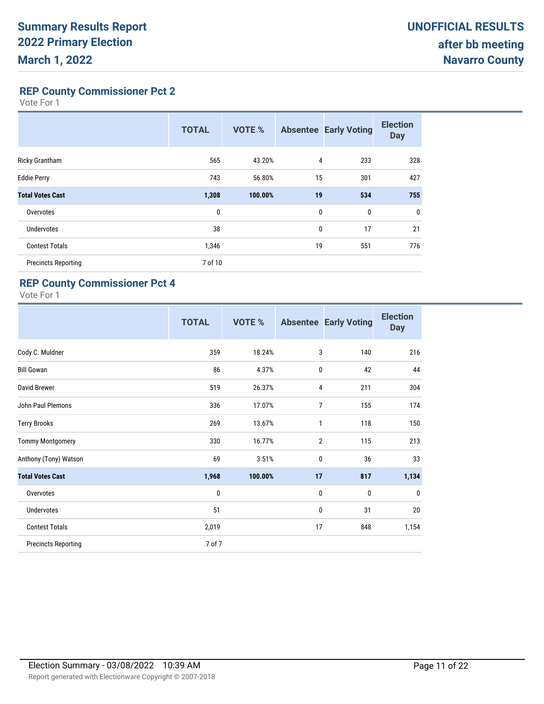**REP County Commissioner Pct 2**

Vote For 1

|                            | <b>TOTAL</b> | <b>VOTE %</b> | <b>Absentee</b> | <b>Early Voting</b> | <b>Election</b><br><b>Day</b> |
|----------------------------|--------------|---------------|-----------------|---------------------|-------------------------------|
| Ricky Grantham             | 565          | 43.20%        | 4               | 233                 | 328                           |
| <b>Eddie Perry</b>         | 743          | 56.80%        | 15              | 301                 | 427                           |
| <b>Total Votes Cast</b>    | 1,308        | 100.00%       | 19              | 534                 | 755                           |
| Overvotes                  | 0            |               | $\mathbf{0}$    | $\mathbf{0}$        | $\mathbf{0}$                  |
| <b>Undervotes</b>          | 38           |               | 0               | 17                  | 21                            |
| <b>Contest Totals</b>      | 1,346        |               | 19              | 551                 | 776                           |
| <b>Precincts Reporting</b> | 7 of 10      |               |                 |                     |                               |

#### **REP County Commissioner Pct 4**

|                            | <b>TOTAL</b> | VOTE %  | <b>Absentee</b> | <b>Early Voting</b> | <b>Election</b><br><b>Day</b> |
|----------------------------|--------------|---------|-----------------|---------------------|-------------------------------|
| Cody C. Muldner            | 359          | 18.24%  | 3               | 140                 | 216                           |
| <b>Bill Gowan</b>          | 86           | 4.37%   | 0               | 42                  | 44                            |
| David Brewer               | 519          | 26.37%  | 4               | 211                 | 304                           |
| John Paul Plemons          | 336          | 17.07%  | 7               | 155                 | 174                           |
| <b>Terry Brooks</b>        | 269          | 13.67%  | 1               | 118                 | 150                           |
| <b>Tommy Montgomery</b>    | 330          | 16.77%  | $\overline{2}$  | 115                 | 213                           |
| Anthony (Tony) Watson      | 69           | 3.51%   | 0               | 36                  | 33                            |
| <b>Total Votes Cast</b>    | 1,968        | 100.00% | 17              | 817                 | 1,134                         |
| Overvotes                  | 0            |         | 0               | 0                   | $\mathbf{0}$                  |
| <b>Undervotes</b>          | 51           |         | 0               | 31                  | 20                            |
| <b>Contest Totals</b>      | 2,019        |         | 17              | 848                 | 1,154                         |
| <b>Precincts Reporting</b> | 7 of 7       |         |                 |                     |                               |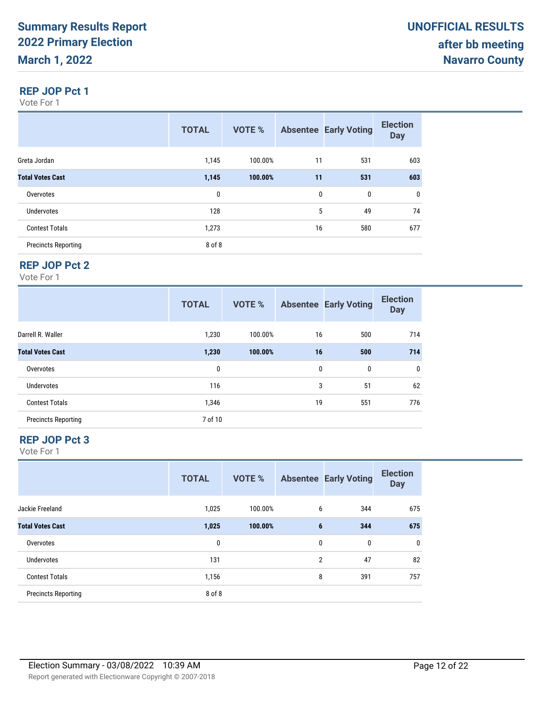#### **REP JOP Pct 1**

Vote For 1

|                            | <b>TOTAL</b> | VOTE %  |    | <b>Absentee Early Voting</b> | <b>Election</b><br><b>Day</b> |
|----------------------------|--------------|---------|----|------------------------------|-------------------------------|
| Greta Jordan               | 1,145        | 100.00% | 11 | 531                          | 603                           |
| <b>Total Votes Cast</b>    | 1,145        | 100.00% | 11 | 531                          | 603                           |
| Overvotes                  | 0            |         | 0  | 0                            | $\mathbf 0$                   |
| <b>Undervotes</b>          | 128          |         | 5  | 49                           | 74                            |
| <b>Contest Totals</b>      | 1,273        |         | 16 | 580                          | 677                           |
| <b>Precincts Reporting</b> | 8 of 8       |         |    |                              |                               |

#### **REP JOP Pct 2**

Vote For 1

|                            | <b>TOTAL</b> | <b>VOTE %</b> |    | <b>Absentee Early Voting</b> | <b>Election</b><br><b>Day</b> |
|----------------------------|--------------|---------------|----|------------------------------|-------------------------------|
| Darrell R. Waller          | 1,230        | 100.00%       | 16 | 500                          | 714                           |
| <b>Total Votes Cast</b>    | 1,230        | 100.00%       | 16 | 500                          | 714                           |
| Overvotes                  | 0            |               | 0  | 0                            | $\mathbf 0$                   |
| <b>Undervotes</b>          | 116          |               | 3  | 51                           | 62                            |
| <b>Contest Totals</b>      | 1,346        |               | 19 | 551                          | 776                           |
| <b>Precincts Reporting</b> | 7 of 10      |               |    |                              |                               |

#### **REP JOP Pct 3**

|                            | <b>TOTAL</b> | <b>VOTE %</b> |                | <b>Absentee Early Voting</b> | <b>Election</b><br><b>Day</b> |
|----------------------------|--------------|---------------|----------------|------------------------------|-------------------------------|
| Jackie Freeland            | 1,025        | 100.00%       | 6              | 344                          | 675                           |
| <b>Total Votes Cast</b>    | 1,025        | 100.00%       | 6              | 344                          | 675                           |
| Overvotes                  | 0            |               | 0              | 0                            | 0                             |
| <b>Undervotes</b>          | 131          |               | $\overline{2}$ | 47                           | 82                            |
| <b>Contest Totals</b>      | 1,156        |               | 8              | 391                          | 757                           |
| <b>Precincts Reporting</b> | 8 of 8       |               |                |                              |                               |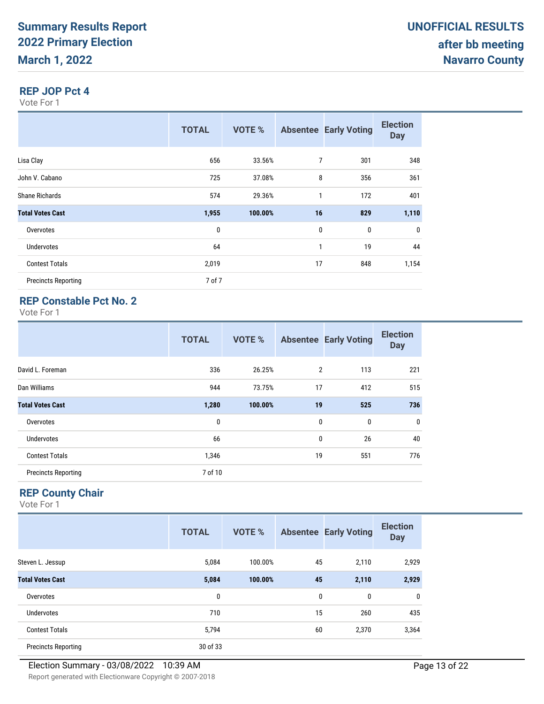#### **REP JOP Pct 4**

Vote For 1

|                            | <b>TOTAL</b> | <b>VOTE %</b> |              | <b>Absentee Early Voting</b> | <b>Election</b><br><b>Day</b> |
|----------------------------|--------------|---------------|--------------|------------------------------|-------------------------------|
| Lisa Clay                  | 656          | 33.56%        | 7            | 301                          | 348                           |
| John V. Cabano             | 725          | 37.08%        | 8            | 356                          | 361                           |
| <b>Shane Richards</b>      | 574          | 29.36%        | 1            | 172                          | 401                           |
| <b>Total Votes Cast</b>    | 1,955        | 100.00%       | 16           | 829                          | 1,110                         |
| Overvotes                  | 0            |               | $\mathbf{0}$ | $\mathbf 0$                  | 0                             |
| <b>Undervotes</b>          | 64           |               | 1            | 19                           | 44                            |
| <b>Contest Totals</b>      | 2,019        |               | 17           | 848                          | 1,154                         |
| <b>Precincts Reporting</b> | 7 of 7       |               |              |                              |                               |

### **REP Constable Pct No. 2**

Vote For 1

|                            | <b>TOTAL</b> | <b>VOTE %</b> |    | <b>Absentee Early Voting</b> | <b>Election</b><br><b>Day</b> |
|----------------------------|--------------|---------------|----|------------------------------|-------------------------------|
| David L. Foreman           | 336          | 26.25%        | 2  | 113                          | 221                           |
| Dan Williams               | 944          | 73.75%        | 17 | 412                          | 515                           |
| <b>Total Votes Cast</b>    | 1,280        | 100.00%       | 19 | 525                          | 736                           |
| Overvotes                  | 0            |               | 0  | 0                            | 0                             |
| Undervotes                 | 66           |               | 0  | 26                           | 40                            |
| <b>Contest Totals</b>      | 1,346        |               | 19 | 551                          | 776                           |
| <b>Precincts Reporting</b> | 7 of 10      |               |    |                              |                               |

### **REP County Chair**

|                            | <b>TOTAL</b> | <b>VOTE %</b> |              | <b>Absentee Early Voting</b> | <b>Election</b><br><b>Day</b> |
|----------------------------|--------------|---------------|--------------|------------------------------|-------------------------------|
| Steven L. Jessup           | 5,084        | 100.00%       | 45           | 2,110                        | 2,929                         |
| <b>Total Votes Cast</b>    | 5,084        | 100.00%       | 45           | 2,110                        | 2,929                         |
| Overvotes                  | 0            |               | $\mathbf{0}$ | 0                            | $\mathbf{0}$                  |
| Undervotes                 | 710          |               | 15           | 260                          | 435                           |
| <b>Contest Totals</b>      | 5,794        |               | 60           | 2,370                        | 3,364                         |
| <b>Precincts Reporting</b> | 30 of 33     |               |              |                              |                               |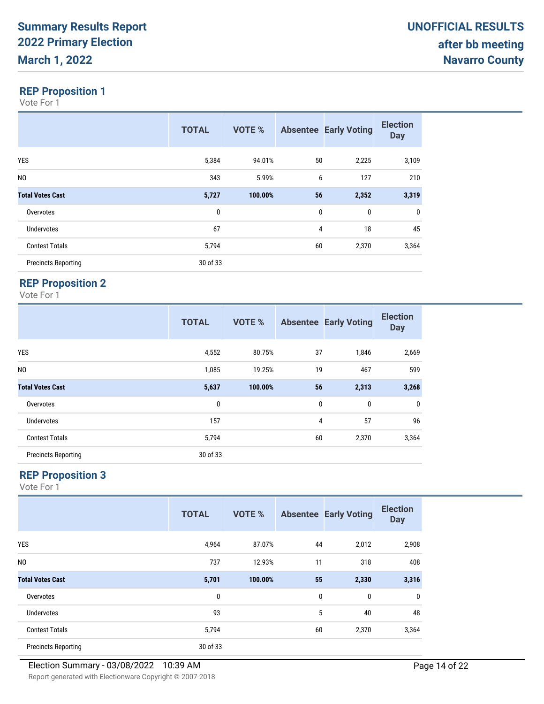Vote For 1

|                            | <b>TOTAL</b> | <b>VOTE %</b> |          | <b>Absentee Early Voting</b> | <b>Election</b><br><b>Day</b> |
|----------------------------|--------------|---------------|----------|------------------------------|-------------------------------|
| YES                        | 5,384        | 94.01%        | 50       | 2,225                        | 3,109                         |
| N <sub>0</sub>             | 343          | 5.99%         | 6        | 127                          | 210                           |
| <b>Total Votes Cast</b>    | 5,727        | 100.00%       | 56       | 2,352                        | 3,319                         |
| Overvotes                  | 0            |               | $\bf{0}$ | 0                            | $\bf{0}$                      |
| <b>Undervotes</b>          | 67           |               | 4        | 18                           | 45                            |
| <b>Contest Totals</b>      | 5,794        |               | 60       | 2,370                        | 3,364                         |
| <b>Precincts Reporting</b> | 30 of 33     |               |          |                              |                               |

## **REP Proposition 2**

Vote For 1

|                            | <b>TOTAL</b> | <b>VOTE %</b> |    | <b>Absentee Early Voting</b> | <b>Election</b><br><b>Day</b> |
|----------------------------|--------------|---------------|----|------------------------------|-------------------------------|
| <b>YES</b>                 | 4,552        | 80.75%        | 37 | 1,846                        | 2,669                         |
| NO.                        | 1,085        | 19.25%        | 19 | 467                          | 599                           |
| <b>Total Votes Cast</b>    | 5,637        | 100.00%       | 56 | 2,313                        | 3,268                         |
| Overvotes                  | 0            |               | 0  | 0                            | 0                             |
| <b>Undervotes</b>          | 157          |               | 4  | 57                           | 96                            |
| <b>Contest Totals</b>      | 5,794        |               | 60 | 2,370                        | 3,364                         |
| <b>Precincts Reporting</b> | 30 of 33     |               |    |                              |                               |

### **REP Proposition 3**

|                            | <b>TOTAL</b> | <b>VOTE %</b> |              | <b>Absentee Early Voting</b> | <b>Election</b><br><b>Day</b> |
|----------------------------|--------------|---------------|--------------|------------------------------|-------------------------------|
| <b>YES</b>                 | 4,964        | 87.07%        | 44           | 2,012                        | 2,908                         |
| N <sub>0</sub>             | 737          | 12.93%        | 11           | 318                          | 408                           |
| <b>Total Votes Cast</b>    | 5,701        | 100.00%       | 55           | 2,330                        | 3,316                         |
| Overvotes                  | 0            |               | $\mathbf{0}$ | 0                            | 0                             |
| <b>Undervotes</b>          | 93           |               | 5            | 40                           | 48                            |
| <b>Contest Totals</b>      | 5,794        |               | 60           | 2,370                        | 3,364                         |
| <b>Precincts Reporting</b> | 30 of 33     |               |              |                              |                               |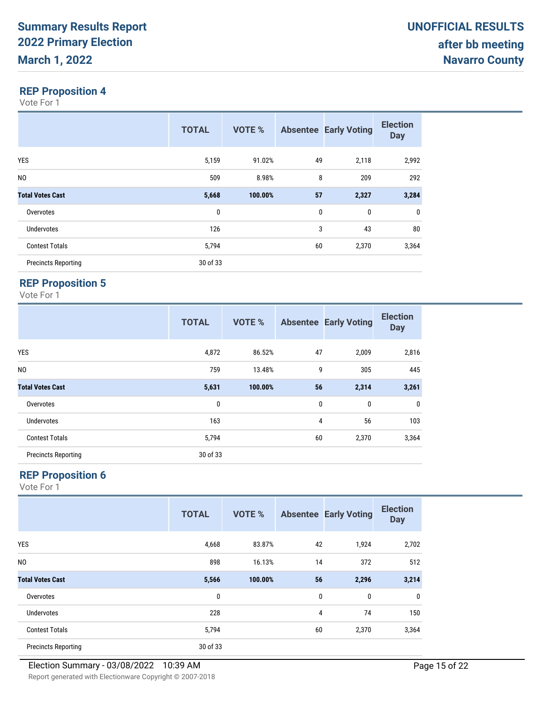Vote For 1

|                            | <b>TOTAL</b> | <b>VOTE %</b> |    | <b>Absentee Early Voting</b> | <b>Election</b><br><b>Day</b> |
|----------------------------|--------------|---------------|----|------------------------------|-------------------------------|
| YES                        | 5,159        | 91.02%        | 49 | 2,118                        | 2,992                         |
| N <sub>0</sub>             | 509          | 8.98%         | 8  | 209                          | 292                           |
| <b>Total Votes Cast</b>    | 5,668        | 100.00%       | 57 | 2,327                        | 3,284                         |
| Overvotes                  | $\mathbf{0}$ |               | 0  | 0                            | $\mathbf 0$                   |
| <b>Undervotes</b>          | 126          |               | 3  | 43                           | 80                            |
| <b>Contest Totals</b>      | 5,794        |               | 60 | 2,370                        | 3,364                         |
| <b>Precincts Reporting</b> | 30 of 33     |               |    |                              |                               |

## **REP Proposition 5**

Vote For 1

|                            | <b>TOTAL</b> | <b>VOTE %</b> |          | <b>Absentee Early Voting</b> | <b>Election</b><br><b>Day</b> |
|----------------------------|--------------|---------------|----------|------------------------------|-------------------------------|
| <b>YES</b>                 | 4,872        | 86.52%        | 47       | 2,009                        | 2,816                         |
| N <sub>0</sub>             | 759          | 13.48%        | 9        | 305                          | 445                           |
| <b>Total Votes Cast</b>    | 5,631        | 100.00%       | 56       | 2,314                        | 3,261                         |
| Overvotes                  | 0            |               | $\bf{0}$ | 0                            | $\mathbf{0}$                  |
| <b>Undervotes</b>          | 163          |               | 4        | 56                           | 103                           |
| <b>Contest Totals</b>      | 5,794        |               | 60       | 2,370                        | 3,364                         |
| <b>Precincts Reporting</b> | 30 of 33     |               |          |                              |                               |

### **REP Proposition 6**

|                            | <b>TOTAL</b> | <b>VOTE %</b> |    | <b>Absentee Early Voting</b> | <b>Election</b><br><b>Day</b> |
|----------------------------|--------------|---------------|----|------------------------------|-------------------------------|
| <b>YES</b>                 | 4,668        | 83.87%        | 42 | 1,924                        | 2,702                         |
| N <sub>0</sub>             | 898          | 16.13%        | 14 | 372                          | 512                           |
| <b>Total Votes Cast</b>    | 5,566        | 100.00%       | 56 | 2,296                        | 3,214                         |
| Overvotes                  | 0            |               | 0  | $\bf{0}$                     | 0                             |
| <b>Undervotes</b>          | 228          |               | 4  | 74                           | 150                           |
| <b>Contest Totals</b>      | 5,794        |               | 60 | 2,370                        | 3,364                         |
| <b>Precincts Reporting</b> | 30 of 33     |               |    |                              |                               |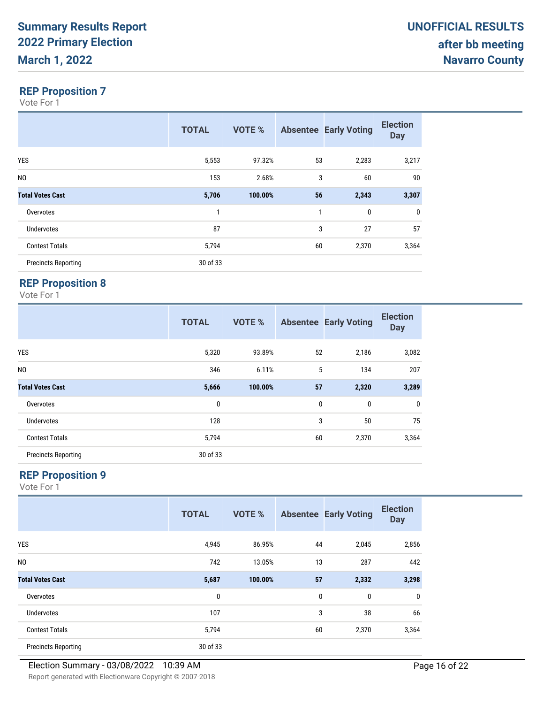Vote For 1

|                            | <b>TOTAL</b> | <b>VOTE %</b> |              | <b>Absentee Early Voting</b> | <b>Election</b><br><b>Day</b> |
|----------------------------|--------------|---------------|--------------|------------------------------|-------------------------------|
| <b>YES</b>                 | 5,553        | 97.32%        | 53           | 2,283                        | 3,217                         |
| N <sub>0</sub>             | 153          | 2.68%         | 3            | 60                           | 90                            |
| <b>Total Votes Cast</b>    | 5,706        | 100.00%       | 56           | 2,343                        | 3,307                         |
| Overvotes                  | 1            |               | $\mathbf{1}$ | 0                            | $\mathbf 0$                   |
| <b>Undervotes</b>          | 87           |               | 3            | 27                           | 57                            |
| <b>Contest Totals</b>      | 5,794        |               | 60           | 2,370                        | 3,364                         |
| <b>Precincts Reporting</b> | 30 of 33     |               |              |                              |                               |

## **REP Proposition 8**

Vote For 1

|                            | <b>TOTAL</b> | <b>VOTE %</b> |    | <b>Absentee Early Voting</b> | <b>Election</b><br><b>Day</b> |
|----------------------------|--------------|---------------|----|------------------------------|-------------------------------|
| YES                        | 5,320        | 93.89%        | 52 | 2,186                        | 3,082                         |
| N <sub>0</sub>             | 346          | 6.11%         | 5  | 134                          | 207                           |
| <b>Total Votes Cast</b>    | 5,666        | 100.00%       | 57 | 2,320                        | 3,289                         |
| Overvotes                  | 0            |               | 0  | $\mathbf{0}$                 | $\mathbf 0$                   |
| <b>Undervotes</b>          | 128          |               | 3  | 50                           | 75                            |
| <b>Contest Totals</b>      | 5,794        |               | 60 | 2,370                        | 3,364                         |
| <b>Precincts Reporting</b> | 30 of 33     |               |    |                              |                               |

### **REP Proposition 9**

|                            | <b>TOTAL</b> | <b>VOTE %</b> |    | <b>Absentee Early Voting</b> | <b>Election</b><br><b>Day</b> |
|----------------------------|--------------|---------------|----|------------------------------|-------------------------------|
| <b>YES</b>                 | 4,945        | 86.95%        | 44 | 2,045                        | 2,856                         |
| N <sub>0</sub>             | 742          | 13.05%        | 13 | 287                          | 442                           |
| <b>Total Votes Cast</b>    | 5,687        | 100.00%       | 57 | 2,332                        | 3,298                         |
| Overvotes                  | 0            |               | 0  | 0                            | 0                             |
| <b>Undervotes</b>          | 107          |               | 3  | 38                           | 66                            |
| <b>Contest Totals</b>      | 5,794        |               | 60 | 2,370                        | 3,364                         |
| <b>Precincts Reporting</b> | 30 of 33     |               |    |                              |                               |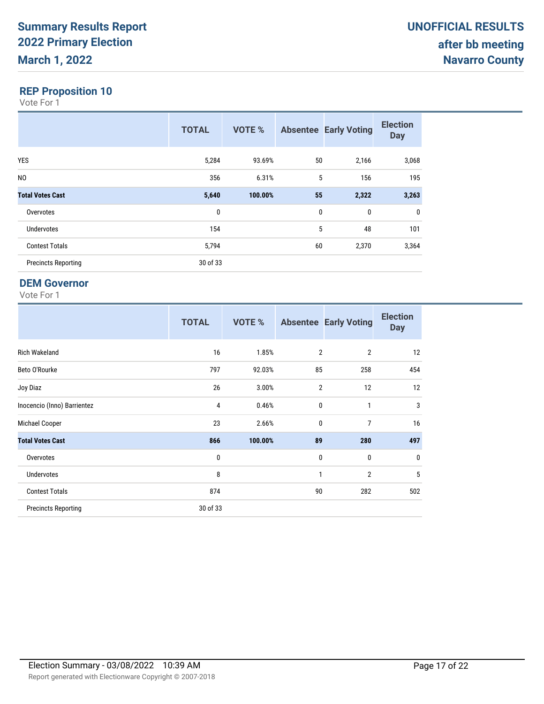Vote For 1

|                            | <b>TOTAL</b> | <b>VOTE %</b> |    | <b>Absentee Early Voting</b> | <b>Election</b><br><b>Day</b> |
|----------------------------|--------------|---------------|----|------------------------------|-------------------------------|
| <b>YES</b>                 | 5,284        | 93.69%        | 50 | 2,166                        | 3,068                         |
| N <sub>0</sub>             | 356          | 6.31%         | 5  | 156                          | 195                           |
| <b>Total Votes Cast</b>    | 5,640        | 100.00%       | 55 | 2,322                        | 3,263                         |
| Overvotes                  | $\mathbf 0$  |               | 0  | 0                            | $\mathbf 0$                   |
| <b>Undervotes</b>          | 154          |               | 5  | 48                           | 101                           |
| <b>Contest Totals</b>      | 5,794        |               | 60 | 2,370                        | 3,364                         |
| <b>Precincts Reporting</b> | 30 of 33     |               |    |                              |                               |

#### **DEM Governor**

|                             | <b>TOTAL</b>   | <b>VOTE %</b> |                | <b>Absentee Early Voting</b> | <b>Election</b><br><b>Day</b> |
|-----------------------------|----------------|---------------|----------------|------------------------------|-------------------------------|
| <b>Rich Wakeland</b>        | 16             | 1.85%         | $\overline{2}$ | $\overline{2}$               | 12                            |
| Beto O'Rourke               | 797            | 92.03%        | 85             | 258                          | 454                           |
| Joy Diaz                    | 26             | 3.00%         | $\overline{2}$ | 12                           | 12                            |
| Inocencio (Inno) Barrientez | $\overline{4}$ | 0.46%         | $\pmb{0}$      | 1                            | $\sqrt{3}$                    |
| Michael Cooper              | 23             | 2.66%         | 0              | 7                            | 16                            |
| <b>Total Votes Cast</b>     | 866            | 100.00%       | 89             | 280                          | 497                           |
| Overvotes                   | $\mathbf 0$    |               | 0              | 0                            | $\pmb{0}$                     |
| Undervotes                  | 8              |               | 1              | $\overline{2}$               | 5                             |
| <b>Contest Totals</b>       | 874            |               | 90             | 282                          | 502                           |
| <b>Precincts Reporting</b>  | 30 of 33       |               |                |                              |                               |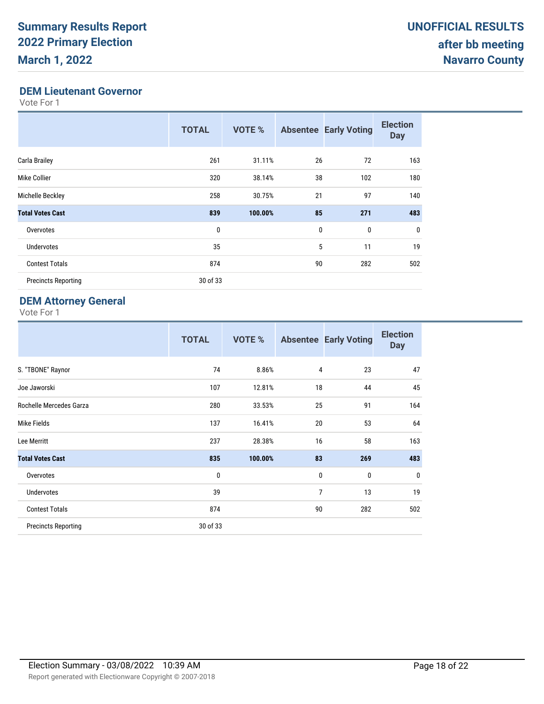#### **DEM Lieutenant Governor**

Vote For 1

|                            | <b>TOTAL</b> | <b>VOTE %</b> | <b>Absentee</b> | <b>Early Voting</b> | <b>Election</b><br><b>Day</b> |
|----------------------------|--------------|---------------|-----------------|---------------------|-------------------------------|
| Carla Brailey              | 261          | 31.11%        | 26              | 72                  | 163                           |
| Mike Collier               | 320          | 38.14%        | 38              | 102                 | 180                           |
| Michelle Beckley           | 258          | 30.75%        | 21              | 97                  | 140                           |
| <b>Total Votes Cast</b>    | 839          | 100.00%       | 85              | 271                 | 483                           |
| Overvotes                  | 0            |               | 0               | 0                   | $\mathbf 0$                   |
| <b>Undervotes</b>          | 35           |               | 5               | 11                  | 19                            |
| <b>Contest Totals</b>      | 874          |               | 90              | 282                 | 502                           |
| <b>Precincts Reporting</b> | 30 of 33     |               |                 |                     |                               |

### **DEM Attorney General**

|                            | <b>TOTAL</b> | <b>VOTE %</b> |             | <b>Absentee Early Voting</b> | <b>Election</b><br><b>Day</b> |
|----------------------------|--------------|---------------|-------------|------------------------------|-------------------------------|
| S. "TBONE" Raynor          | 74           | 8.86%         | 4           | 23                           | 47                            |
| Joe Jaworski               | 107          | 12.81%        | 18          | 44                           | 45                            |
| Rochelle Mercedes Garza    | 280          | 33.53%        | 25          | 91                           | 164                           |
| Mike Fields                | 137          | 16.41%        | 20          | 53                           | 64                            |
| Lee Merritt                | 237          | 28.38%        | 16          | 58                           | 163                           |
| <b>Total Votes Cast</b>    | 835          | 100.00%       | 83          | 269                          | 483                           |
| Overvotes                  | 0            |               | $\mathbf 0$ | 0                            | $\mathbf 0$                   |
| Undervotes                 | 39           |               | 7           | 13                           | 19                            |
| <b>Contest Totals</b>      | 874          |               | 90          | 282                          | 502                           |
| <b>Precincts Reporting</b> | 30 of 33     |               |             |                              |                               |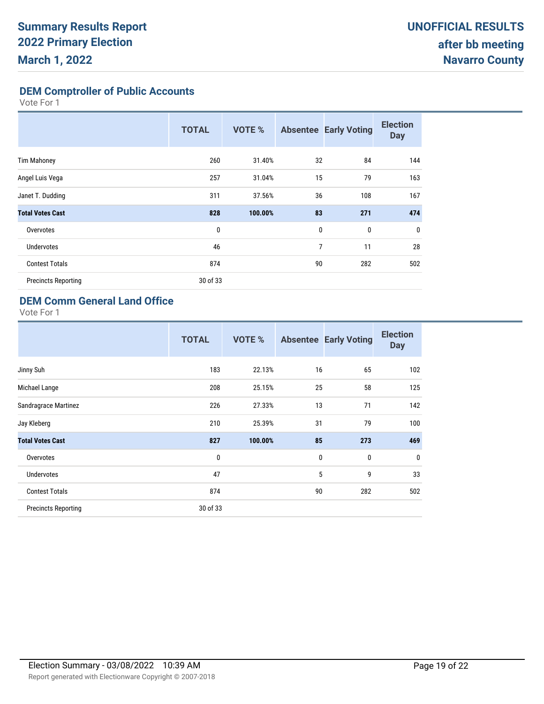**DEM Comptroller of Public Accounts**

Vote For 1

|                            | <b>TOTAL</b> | <b>VOTE %</b> |             | <b>Absentee Early Voting</b> | <b>Election</b><br><b>Day</b> |
|----------------------------|--------------|---------------|-------------|------------------------------|-------------------------------|
| <b>Tim Mahoney</b>         | 260          | 31.40%        | 32          | 84                           | 144                           |
| Angel Luis Vega            | 257          | 31.04%        | 15          | 79                           | 163                           |
| Janet T. Dudding           | 311          | 37.56%        | 36          | 108                          | 167                           |
| <b>Total Votes Cast</b>    | 828          | 100.00%       | 83          | 271                          | 474                           |
| Overvotes                  | 0            |               | $\mathbf 0$ | 0                            | $\mathbf 0$                   |
| <b>Undervotes</b>          | 46           |               | 7           | 11                           | 28                            |
| <b>Contest Totals</b>      | 874          |               | 90          | 282                          | 502                           |
| <b>Precincts Reporting</b> | 30 of 33     |               |             |                              |                               |

## **DEM Comm General Land Office**

|                            | <b>TOTAL</b> | <b>VOTE %</b> | <b>Absentee</b> | <b>Early Voting</b> | <b>Election</b><br><b>Day</b> |
|----------------------------|--------------|---------------|-----------------|---------------------|-------------------------------|
| Jinny Suh                  | 183          | 22.13%        | 16              | 65                  | 102                           |
| Michael Lange              | 208          | 25.15%        | 25              | 58                  | 125                           |
| Sandragrace Martinez       | 226          | 27.33%        | 13              | 71                  | 142                           |
| Jay Kleberg                | 210          | 25.39%        | 31              | 79                  | 100                           |
| <b>Total Votes Cast</b>    | 827          | 100.00%       | 85              | 273                 | 469                           |
| Overvotes                  | 0            |               | 0               | 0                   | $\mathbf 0$                   |
| <b>Undervotes</b>          | 47           |               | 5               | 9                   | 33                            |
| <b>Contest Totals</b>      | 874          |               | 90              | 282                 | 502                           |
| <b>Precincts Reporting</b> | 30 of 33     |               |                 |                     |                               |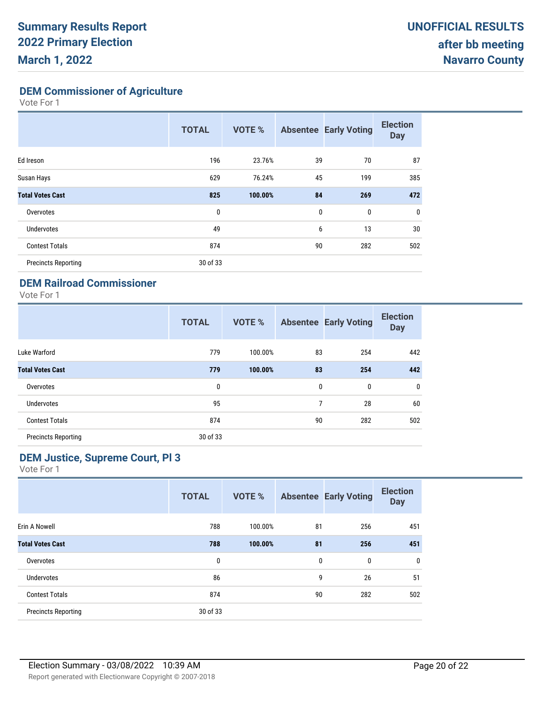**DEM Commissioner of Agriculture**

Vote For 1

|                            | <b>TOTAL</b> | <b>VOTE %</b> |              | <b>Absentee Early Voting</b> | <b>Election</b><br><b>Day</b> |
|----------------------------|--------------|---------------|--------------|------------------------------|-------------------------------|
| Ed Ireson                  | 196          | 23.76%        | 39           | 70                           | 87                            |
| Susan Hays                 | 629          | 76.24%        | 45           | 199                          | 385                           |
| <b>Total Votes Cast</b>    | 825          | 100.00%       | 84           | 269                          | 472                           |
| Overvotes                  | 0            |               | $\mathbf{0}$ | $\mathbf{0}$                 | $\mathbf 0$                   |
| <b>Undervotes</b>          | 49           |               | 6            | 13                           | 30                            |
| <b>Contest Totals</b>      | 874          |               | 90           | 282                          | 502                           |
| <b>Precincts Reporting</b> | 30 of 33     |               |              |                              |                               |

#### **DEM Railroad Commissioner**

Vote For 1

|                            | <b>TOTAL</b> | <b>VOTE %</b> |    | <b>Absentee Early Voting</b> | <b>Election</b><br><b>Day</b> |
|----------------------------|--------------|---------------|----|------------------------------|-------------------------------|
| Luke Warford               | 779          | 100.00%       | 83 | 254                          | 442                           |
| <b>Total Votes Cast</b>    | 779          | 100.00%       | 83 | 254                          | 442                           |
| Overvotes                  | 0            |               | 0  | $\mathbf{0}$                 | 0                             |
| Undervotes                 | 95           |               | 7  | 28                           | 60                            |
| <b>Contest Totals</b>      | 874          |               | 90 | 282                          | 502                           |
| <b>Precincts Reporting</b> | 30 of 33     |               |    |                              |                               |

### **DEM Justice, Supreme Court, Pl 3**

|                            | <b>TOTAL</b> | <b>VOTE %</b> |    | <b>Absentee Early Voting</b> | <b>Election</b><br><b>Day</b> |
|----------------------------|--------------|---------------|----|------------------------------|-------------------------------|
| Erin A Nowell              | 788          | 100.00%       | 81 | 256                          | 451                           |
| <b>Total Votes Cast</b>    | 788          | 100.00%       | 81 | 256                          | 451                           |
| Overvotes                  | 0            |               | 0  | 0                            | $\mathbf 0$                   |
| <b>Undervotes</b>          | 86           |               | 9  | 26                           | 51                            |
| <b>Contest Totals</b>      | 874          |               | 90 | 282                          | 502                           |
| <b>Precincts Reporting</b> | 30 of 33     |               |    |                              |                               |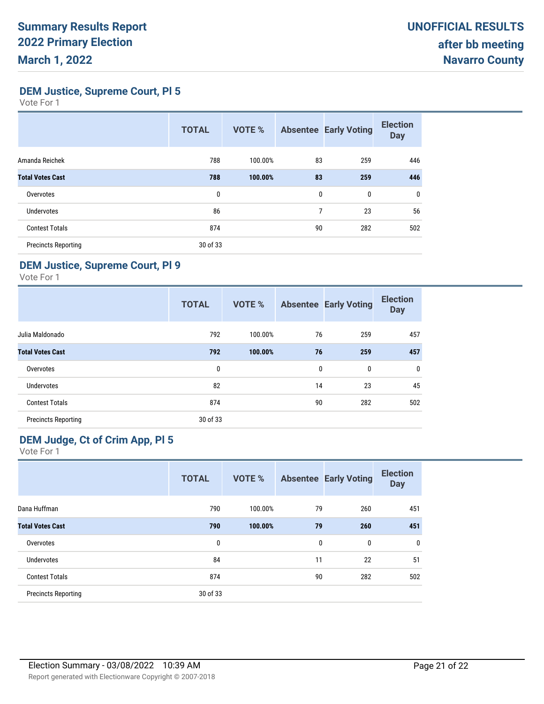**DEM Justice, Supreme Court, Pl 5**

Vote For 1

|                            | <b>TOTAL</b> | <b>VOTE %</b> |    | <b>Absentee Early Voting</b> | <b>Election</b><br><b>Day</b> |
|----------------------------|--------------|---------------|----|------------------------------|-------------------------------|
| Amanda Reichek             | 788          | 100.00%       | 83 | 259                          | 446                           |
| <b>Total Votes Cast</b>    | 788          | 100.00%       | 83 | 259                          | 446                           |
| Overvotes                  | 0            |               | 0  | 0                            | $\mathbf 0$                   |
| <b>Undervotes</b>          | 86           |               | 7  | 23                           | 56                            |
| <b>Contest Totals</b>      | 874          |               | 90 | 282                          | 502                           |
| <b>Precincts Reporting</b> | 30 of 33     |               |    |                              |                               |

## **DEM Justice, Supreme Court, Pl 9**

Vote For 1

|                            | <b>TOTAL</b> | <b>VOTE %</b> |    | <b>Absentee Early Voting</b> | <b>Election</b><br><b>Day</b> |
|----------------------------|--------------|---------------|----|------------------------------|-------------------------------|
| Julia Maldonado            | 792          | 100.00%       | 76 | 259                          | 457                           |
| <b>Total Votes Cast</b>    | 792          | 100.00%       | 76 | 259                          | 457                           |
| Overvotes                  | $\mathbf{0}$ |               | 0  | 0                            | $\mathbf 0$                   |
| <b>Undervotes</b>          | 82           |               | 14 | 23                           | 45                            |
| <b>Contest Totals</b>      | 874          |               | 90 | 282                          | 502                           |
| <b>Precincts Reporting</b> | 30 of 33     |               |    |                              |                               |

## **DEM Judge, Ct of Crim App, Pl 5**

|                            | <b>TOTAL</b> | <b>VOTE %</b> |    | <b>Absentee Early Voting</b> | <b>Election</b><br><b>Day</b> |
|----------------------------|--------------|---------------|----|------------------------------|-------------------------------|
| Dana Huffman               | 790          | 100.00%       | 79 | 260                          | 451                           |
| <b>Total Votes Cast</b>    | 790          | 100.00%       | 79 | 260                          | 451                           |
| Overvotes                  | 0            |               | 0  | 0                            | 0                             |
| Undervotes                 | 84           |               | 11 | 22                           | 51                            |
| <b>Contest Totals</b>      | 874          |               | 90 | 282                          | 502                           |
| <b>Precincts Reporting</b> | 30 of 33     |               |    |                              |                               |